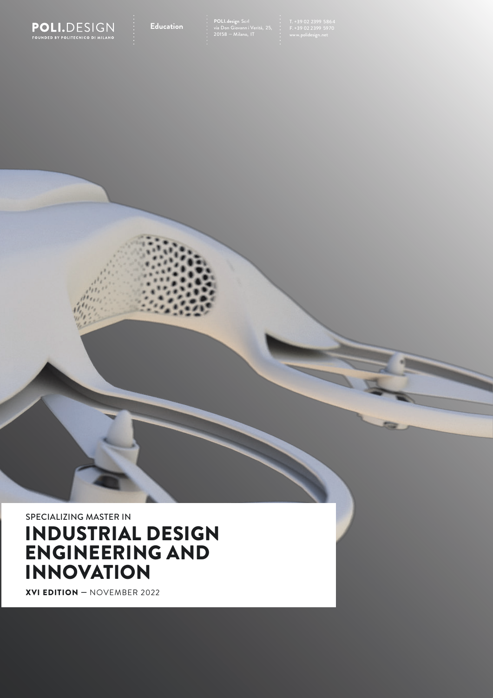

SPECIALIZING MASTER IN

# INDUSTRIAL DESIGN ENGINEERING AND INNOVATION

XVI EDITION — NOVEMBER 2022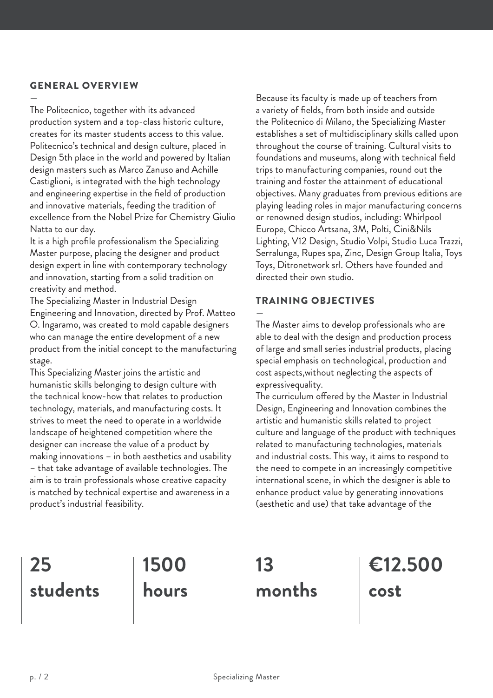## GENERAL OVERVIEW

— The Politecnico, together with its advanced production system and a top-class historic culture, creates for its master students access to this value. Politecnico's technical and design culture, placed in Design 5th place in the world and powered by Italian design masters such as Marco Zanuso and Achille Castiglioni, is integrated with the high technology and engineering expertise in the field of production and innovative materials, feeding the tradition of excellence from the Nobel Prize for Chemistry Giulio Natta to our day.

It is a high profile professionalism the Specializing Master purpose, placing the designer and product design expert in line with contemporary technology and innovation, starting from a solid tradition on creativity and method.

The Specializing Master in Industrial Design Engineering and Innovation, directed by Prof. Matteo O. Ingaramo, was created to mold capable designers who can manage the entire development of a new product from the initial concept to the manufacturing stage.

This Specializing Master joins the artistic and humanistic skills belonging to design culture with the technical know-how that relates to production technology, materials, and manufacturing costs. It strives to meet the need to operate in a worldwide landscape of heightened competition where the designer can increase the value of a product by making innovations – in both aesthetics and usability – that take advantage of available technologies. The aim is to train professionals whose creative capacity is matched by technical expertise and awareness in a product's industrial feasibility.

Because its faculty is made up of teachers from a variety of fields, from both inside and outside the Politecnico di Milano, the Specializing Master establishes a set of multidisciplinary skills called upon throughout the course of training. Cultural visits to foundations and museums, along with technical field trips to manufacturing companies, round out the training and foster the attainment of educational objectives. Many graduates from previous editions are playing leading roles in major manufacturing concerns or renowned design studios, including: Whirlpool Europe, Chicco Artsana, 3M, Polti, Cini&Nils Lighting, V12 Design, Studio Volpi, Studio Luca Trazzi, Serralunga, Rupes spa, Zinc, Design Group Italia, Toys Toys, Ditronetwork srl. Others have founded and directed their own studio.

# TRAINING OBJECTIVES

— The Master aims to develop professionals who are able to deal with the design and production process of large and small series industrial products, placing special emphasis on technological, production and cost aspects,without neglecting the aspects of expressivequality.

The curriculum offered by the Master in Industrial Design, Engineering and Innovation combines the artistic and humanistic skills related to project culture and language of the product with techniques related to manufacturing technologies, materials and industrial costs. This way, it aims to respond to the need to compete in an increasingly competitive international scene, in which the designer is able to enhance product value by generating innovations (aesthetic and use) that take advantage of the

# **25 students**

**1500 hours**

**13 months** **€12.500 cost**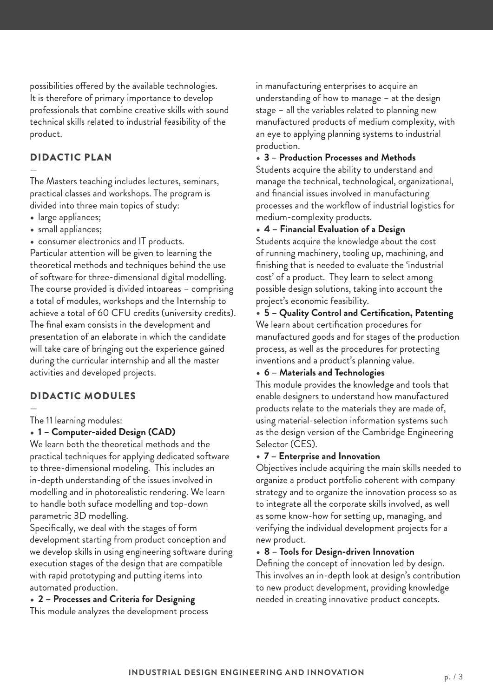possibilities offered by the available technologies. It is therefore of primary importance to develop professionals that combine creative skills with sound technical skills related to industrial feasibility of the product.

## DIDACTIC PLAN

— The Masters teaching includes lectures, seminars, practical classes and workshops. The program is divided into three main topics of study:

- large appliances;
- small appliances;

• consumer electronics and IT products. Particular attention will be given to learning the theoretical methods and techniques behind the use of software for three-dimensional digital modelling. The course provided is divided intoareas – comprising a total of modules, workshops and the Internship to achieve a total of 60 CFU credits (university credits). The final exam consists in the development and presentation of an elaborate in which the candidate will take care of bringing out the experience gained during the curricular internship and all the master activities and developed projects.

# DIDACTIC MODULES

— The 11 learning modules:

## • **1 – Computer-aided Design (CAD)**

We learn both the theoretical methods and the practical techniques for applying dedicated software to three-dimensional modeling. This includes an in-depth understanding of the issues involved in modelling and in photorealistic rendering. We learn to handle both suface modelling and top-down parametric 3D modelling.

Specifically, we deal with the stages of form development starting from product conception and we develop skills in using engineering software during execution stages of the design that are compatible with rapid prototyping and putting items into automated production.

• **2 – Processes and Criteria for Designing**

This module analyzes the development process

in manufacturing enterprises to acquire an understanding of how to manage – at the design stage – all the variables related to planning new manufactured products of medium complexity, with an eye to applying planning systems to industrial production.

#### • **3 – Production Processes and Methods**

Students acquire the ability to understand and manage the technical, technological, organizational, and financial issues involved in manufacturing processes and the workflow of industrial logistics for medium-complexity products.

• **4 – Financial Evaluation of a Design**

Students acquire the knowledge about the cost of running machinery, tooling up, machining, and finishing that is needed to evaluate the 'industrial cost' of a product. They learn to select among possible design solutions, taking into account the project's economic feasibility.

• **5 – Quality Control and Certification, Patenting** We learn about certification procedures for manufactured goods and for stages of the production process, as well as the procedures for protecting inventions and a product's planning value.

## • **6 – Materials and Technologies**

This module provides the knowledge and tools that enable designers to understand how manufactured products relate to the materials they are made of, using material-selection information systems such as the design version of the Cambridge Engineering Selector (CES).

## • **7 – Enterprise and Innovation**

Objectives include acquiring the main skills needed to organize a product portfolio coherent with company strategy and to organize the innovation process so as to integrate all the corporate skills involved, as well as some know-how for setting up, managing, and verifying the individual development projects for a new product.

• **8 – Tools for Design-driven Innovation**

Defining the concept of innovation led by design. This involves an in-depth look at design's contribution to new product development, providing knowledge needed in creating innovative product concepts.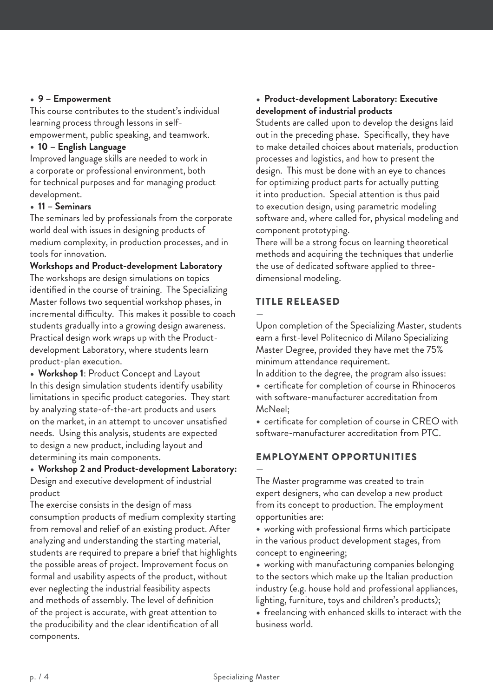#### • **9 – Empowerment**

This course contributes to the student's individual learning process through lessons in selfempowerment, public speaking, and teamwork.

## • **10 – English Language**

Improved language skills are needed to work in a corporate or professional environment, both for technical purposes and for managing product development.

#### • **11 – Seminars**

The seminars led by professionals from the corporate world deal with issues in designing products of medium complexity, in production processes, and in tools for innovation.

### **Workshops and Product-development Laboratory**

The workshops are design simulations on topics identified in the course of training. The Specializing Master follows two sequential workshop phases, in incremental difficulty. This makes it possible to coach students gradually into a growing design awareness. Practical design work wraps up with the Productdevelopment Laboratory, where students learn product-plan execution.

• **Workshop 1**: Product Concept and Layout In this design simulation students identify usability limitations in specific product categories. They start by analyzing state-of-the-art products and users on the market, in an attempt to uncover unsatisfied needs. Using this analysis, students are expected to design a new product, including layout and determining its main components.

### • **Workshop 2 and Product-development Laboratory:** Design and executive development of industrial product

The exercise consists in the design of mass consumption products of medium complexity starting from removal and relief of an existing product. After analyzing and understanding the starting material, students are required to prepare a brief that highlights the possible areas of project. Improvement focus on formal and usability aspects of the product, without ever neglecting the industrial feasibility aspects and methods of assembly. The level of definition of the project is accurate, with great attention to the producibility and the clear identification of all components.

## • **Product-development Laboratory: Executive development of industrial products**

Students are called upon to develop the designs laid out in the preceding phase. Specifically, they have to make detailed choices about materials, production processes and logistics, and how to present the design. This must be done with an eye to chances for optimizing product parts for actually putting it into production. Special attention is thus paid to execution design, using parametric modeling software and, where called for, physical modeling and component prototyping.

There will be a strong focus on learning theoretical methods and acquiring the techniques that underlie the use of dedicated software applied to threedimensional modeling.

# TITLE RELEASED

— Upon completion of the Specializing Master, students earn a first-level Politecnico di Milano Specializing Master Degree, provided they have met the 75% minimum attendance requirement.

In addition to the degree, the program also issues: • certificate for completion of course in Rhinoceros with software-manufacturer accreditation from McNeel;

• certificate for completion of course in CREO with software-manufacturer accreditation from PTC.

# EMPLOYMENT OPPORTUNITIES

— The Master programme was created to train expert designers, who can develop a new product from its concept to production. The employment opportunities are:

• working with professional firms which participate in the various product development stages, from concept to engineering;

• working with manufacturing companies belonging to the sectors which make up the Italian production industry (e.g. house hold and professional appliances, lighting, furniture, toys and children's products);

• freelancing with enhanced skills to interact with the business world.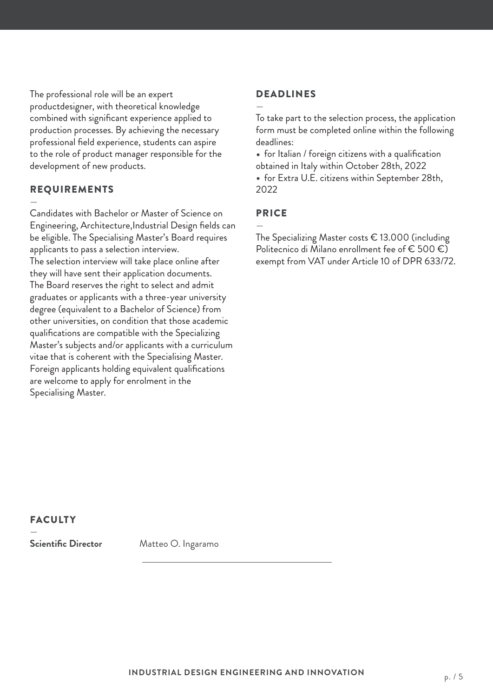The professional role will be an expert productdesigner, with theoretical knowledge combined with significant experience applied to production processes. By achieving the necessary professional field experience, students can aspire to the role of product manager responsible for the development of new products.

## REQUIREMENTS

— Candidates with Bachelor or Master of Science on Engineering, Architecture,Industrial Design fields can be eligible. The Specialising Master's Board requires applicants to pass a selection interview. The selection interview will take place online after they will have sent their application documents. The Board reserves the right to select and admit graduates or applicants with a three-year university degree (equivalent to a Bachelor of Science) from other universities, on condition that those academic qualifications are compatible with the Specializing Master's subjects and/or applicants with a curriculum vitae that is coherent with the Specialising Master. Foreign applicants holding equivalent qualifications are welcome to apply for enrolment in the Specialising Master.

#### DEADLINES

— To take part to the selection process, the application form must be completed online within the following deadlines:

• for Italian / foreign citizens with a qualification obtained in Italy within October 28th, 2022

• for Extra U.E. citizens within September 28th, 2022

# PRICE

—

The Specializing Master costs € 13.000 (including Politecnico di Milano enrollment fee of € 500 €) exempt from VAT under Article 10 of DPR 633/72.

# FACULTY

—

**Scientific Director** Matteo O. Ingaramo